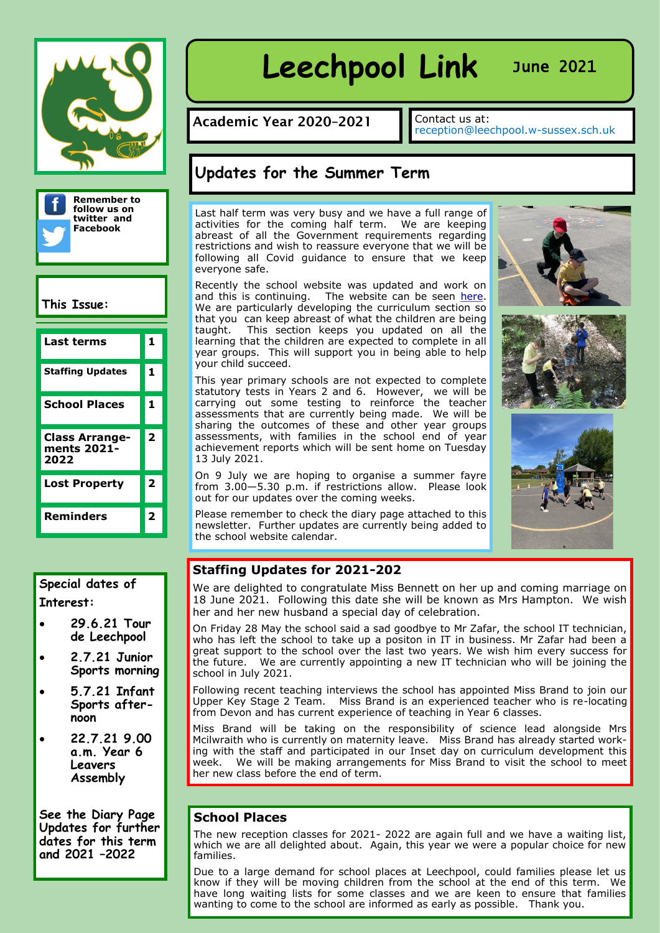



## **This Issue:**

| Last terms                                   | 1 |
|----------------------------------------------|---|
| <b>Staffing Updates</b>                      | 1 |
| <b>School Places</b>                         | 1 |
| <b>Class Arrange-</b><br>ments 2021-<br>2022 | 2 |
| <b>Lost Property</b>                         | 2 |
| Reminders                                    | 2 |



- **29.6.21 Tour de Leechpool**
- **2.7.21 Junior Sports morning**
- **5.7.21 Infant Sports afternoon**
- **22.7.21 9.00 a.m. Year 6 Leavers Assembly**

**See the Diary Page Updates for further dates for this term and 2021 –2022**

# Leechpool Link June 2021

Academic Year 2020-2021

Contact us at:<br>reception@leechpool.w-sussex.sch.uk

## **Updates for the Summer Term**

Last half term was very busy and we have a full range of activities for the coming half term. We are keeping abreast of all the Government requirements regarding restrictions and wish to reassure everyone that we will be following all Covid guidance to ensure that we keep everyone safe.

Recently the school website was updated and work on and this is continuing. The website can be seen [here.](http://leechpool.ovw10.devwebsite.co.uk/) We are particularly developing the curriculum section so that you can keep abreast of what the children are being taught. This section keeps you updated on all the learning that the children are expected to complete in all year groups. This will support you in being able to help your child succeed.

This year primary schools are not expected to complete statutory tests in Years 2 and 6. However, we will be carrying out some testing to reinforce the teacher assessments that are currently being made. We will be sharing the outcomes of these and other year groups assessments, with families in the school end of year achievement reports which will be sent home on Tuesday 13 July 2021.

On 9 July we are hoping to organise a summer fayre from 3.00—5.30 p.m. if restrictions allow. Please look out for our updates over the coming weeks.

Please remember to check the diary page attached to this newsletter. Further updates are currently being added to the school website calendar.







## **Staffing Updates for 2021-202**

We are delighted to congratulate Miss Bennett on her up and coming marriage on 18 June 2021. Following this date she will be known as Mrs Hampton. We wish her and her new husband a special day of celebration.

On Friday 28 May the school said a sad goodbye to Mr Zafar, the school IT technician, who has left the school to take up a positon in IT in business. Mr Zafar had been a great support to the school over the last two years. We wish him every success for the future. We are currently appointing a new IT technician who will be joining the school in July 2021.

Following recent teaching interviews the school has appointed Miss Brand to join our Upper Key Stage 2 Team. Miss Brand is an experienced teacher who is re-locating from Devon and has current experience of teaching in Year 6 classes.

Miss Brand will be taking on the responsibility of science lead alongside Mrs Mcilwraith who is currently on maternity leave. Miss Brand has already started working with the staff and participated in our Inset day on curriculum development this week. We will be making arrangements for Miss Brand to visit the school to meet her new class before the end of term.

## **School Places**

The new reception classes for 2021- 2022 are again full and we have a waiting list, which we are all delighted about. Again, this year we were a popular choice for new families.

Due to a large demand for school places at Leechpool, could families please let us know if they will be moving children from the school at the end of this term. We have long waiting lists for some classes and we are keen to ensure that families wanting to come to the school are informed as early as possible. Thank you.